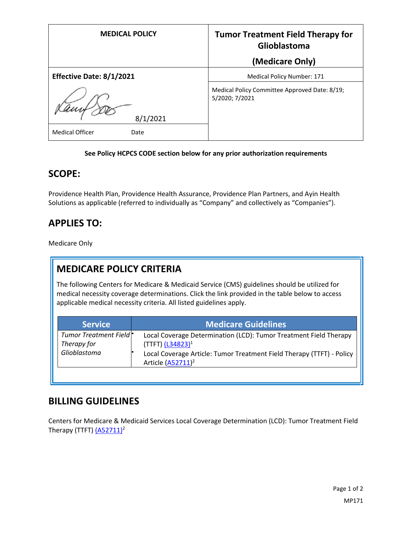| <b>MEDICAL POLICY</b>          | <b>Tumor Treatment Field Therapy for</b><br>Glioblastoma        |
|--------------------------------|-----------------------------------------------------------------|
|                                | (Medicare Only)                                                 |
| Effective Date: 8/1/2021       | Medical Policy Number: 171                                      |
| 8/1/2021                       | Medical Policy Committee Approved Date: 8/19;<br>5/2020; 7/2021 |
| <b>Medical Officer</b><br>Date |                                                                 |

#### **See Policy HCPCS CODE section below for any prior authorization requirements**

#### **SCOPE:**

Providence Health Plan, Providence Health Assurance, Providence Plan Partners, and Ayin Health Solutions as applicable (referred to individually as "Company" and collectively as "Companies").

## **APPLIES TO:**

Medicare Only

# **MEDICARE POLICY CRITERIA**

The following Centers for Medicare & Medicaid Service (CMS) guidelines should be utilized for medical necessity coverage determinations. Click the link provided in the table below to access applicable medical necessity criteria. All listed guidelines apply.

| <b>Service</b>                                                    | <b>Medicare Guidelines</b>                                                                                                                                                                         |
|-------------------------------------------------------------------|----------------------------------------------------------------------------------------------------------------------------------------------------------------------------------------------------|
| Tumor Treatment Field <sup>*</sup><br>Therapy for<br>Glioblastoma | Local Coverage Determination (LCD): Tumor Treatment Field Therapy<br>(TTFT) $(L34823)^1$<br>Local Coverage Article: Tumor Treatment Field Therapy (TTFT) - Policy<br>Article (A52711) <sup>2</sup> |
|                                                                   |                                                                                                                                                                                                    |

### **BILLING GUIDELINES**

Centers for Medicare & Medicaid Services Local Coverage Determination (LCD): Tumor Treatment Field Therapy (TTFT)  $(A52711)^2$